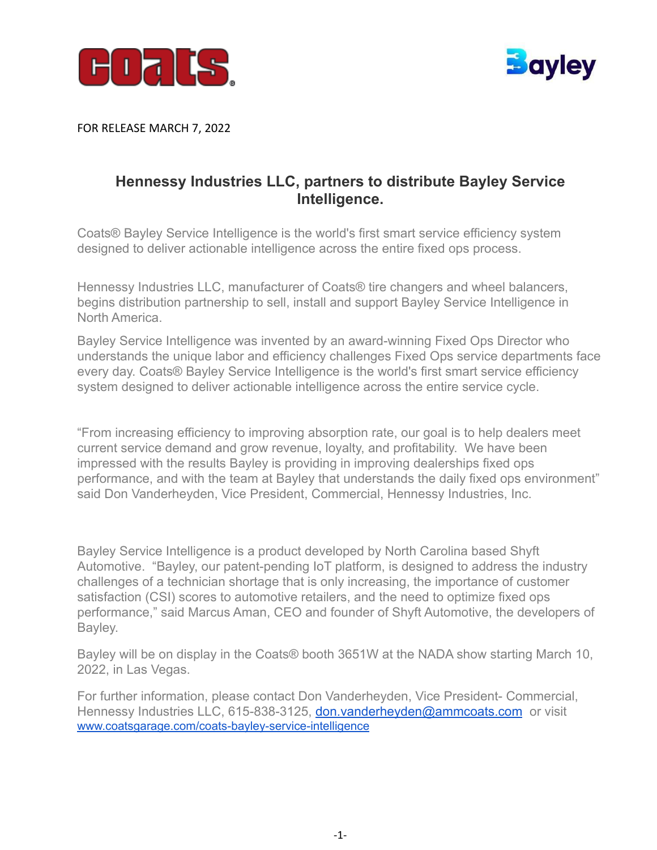



FOR RELEASE MARCH 7, 2022

## **Hennessy Industries LLC, partners to distribute Bayley Service Intelligence.**

Coats® Bayley Service Intelligence is the world's first smart service efficiency system designed to deliver actionable intelligence across the entire fixed ops process.

Hennessy Industries LLC, manufacturer of Coats® tire changers and wheel balancers, begins distribution partnership to sell, install and support Bayley Service Intelligence in North America.

Bayley Service Intelligence was invented by an award-winning Fixed Ops Director who understands the unique labor and efficiency challenges Fixed Ops service departments face every day. Coats® Bayley Service Intelligence is the world's first smart service efficiency system designed to deliver actionable intelligence across the entire service cycle.

"From increasing efficiency to improving absorption rate, our goal is to help dealers meet current service demand and grow revenue, loyalty, and profitability. We have been impressed with the results Bayley is providing in improving dealerships fixed ops performance, and with the team at Bayley that understands the daily fixed ops environment" said Don Vanderheyden, Vice President, Commercial, Hennessy Industries, Inc.

Bayley Service Intelligence is a product developed by North Carolina based Shyft Automotive. "Bayley, our patent-pending IoT platform, is designed to address the industry challenges of a technician shortage that is only increasing, the importance of customer satisfaction (CSI) scores to automotive retailers, and the need to optimize fixed ops performance," said Marcus Aman, CEO and founder of Shyft Automotive, the developers of Bayley.

Bayley will be on display in the Coats® booth 3651W at the NADA show starting March 10, 2022, in Las Vegas.

For further information, please contact Don Vanderheyden, Vice President- Commercial, Hennessy Industries LLC, 615-838-3125, [don.vanderheyden@ammcoats.com](mailto:don.vanderheyden@ammcoats.com) or visit [www.coatsgarage.com/coats-bayley-service-intelligence](https://www.coatsgarage.com/coats-bayley-service-intelligence)